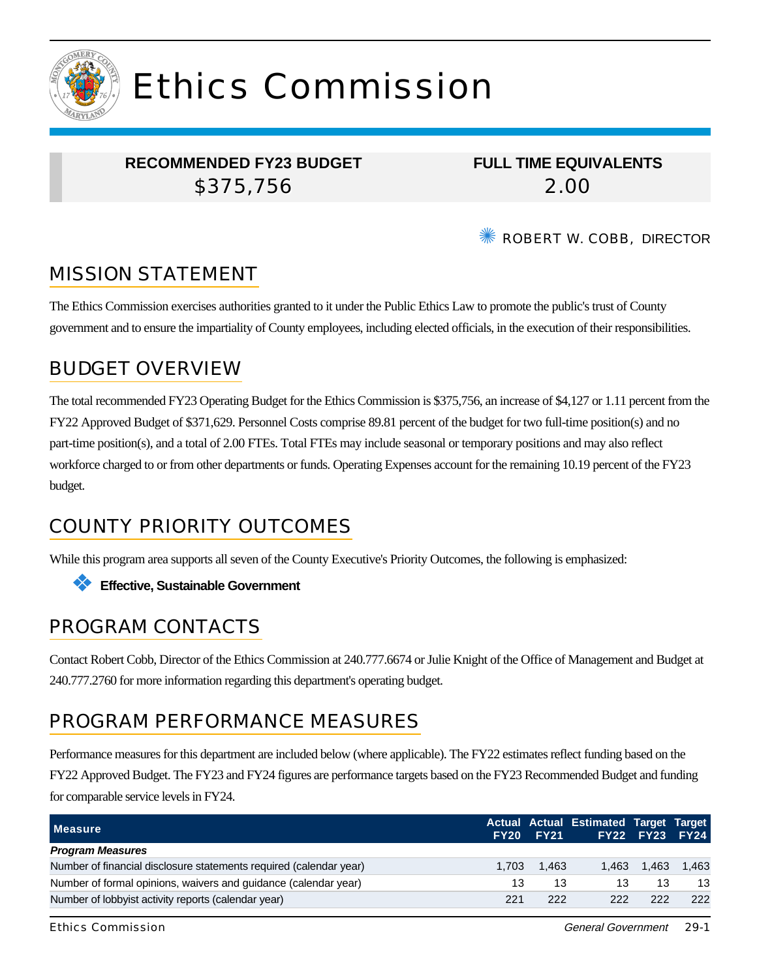

# Ethics Commission

#### **RECOMMENDED FY23 BUDGET** \$375,756

**FULL TIME EQUIVALENTS** 2.00

**EXAMPLE ROBERT W. COBB. DIRECTOR** 

# MISSION STATEMENT

The Ethics Commission exercises authorities granted to it under the Public Ethics Law to promote the public's trust of County government and to ensure the impartiality of County employees, including elected officials, in the execution of their responsibilities.

## BUDGET OVERVIEW

The total recommended FY23 Operating Budget for the Ethics Commission is \$375,756, an increase of \$4,127 or 1.11 percent from the FY22 Approved Budget of \$371,629. Personnel Costs comprise 89.81 percent of the budget for two full-time position(s) and no part-time position(s), and a total of 2.00 FTEs. Total FTEs may include seasonal or temporary positions and may also reflect workforce charged to or from other departments or funds. Operating Expenses account for the remaining 10.19 percent of the FY23 budget.

## COUNTY PRIORITY OUTCOMES

While this program area supports all seven of the County Executive's Priority Outcomes, the following is emphasized:



### PROGRAM CONTACTS

Contact Robert Cobb, Director of the Ethics Commission at 240.777.6674 or Julie Knight of the Office of Management and Budget at 240.777.2760 for more information regarding this department's operating budget.

## PROGRAM PERFORMANCE MEASURES

Performance measures for this department are included below (where applicable). The FY22 estimates reflect funding based on the FY22 Approved Budget. The FY23 and FY24 figures are performance targets based on the FY23 Recommended Budget and funding for comparable service levels in FY24.

| <b>Measure</b>                                                     |       | FY20 FY21 | Actual Actual Estimated Target Target | FY22 FY23 FY24 |       |
|--------------------------------------------------------------------|-------|-----------|---------------------------------------|----------------|-------|
| <b>Program Measures</b>                                            |       |           |                                       |                |       |
| Number of financial disclosure statements required (calendar year) | 1.703 | 1.463     |                                       | 1.463 1.463    | 1.463 |
| Number of formal opinions, waivers and quidance (calendar year)    | 13    | 13        | 13                                    | 13             | 13    |
| Number of lobbyist activity reports (calendar year)                | 221   | 222       | 222                                   | 222            | 222   |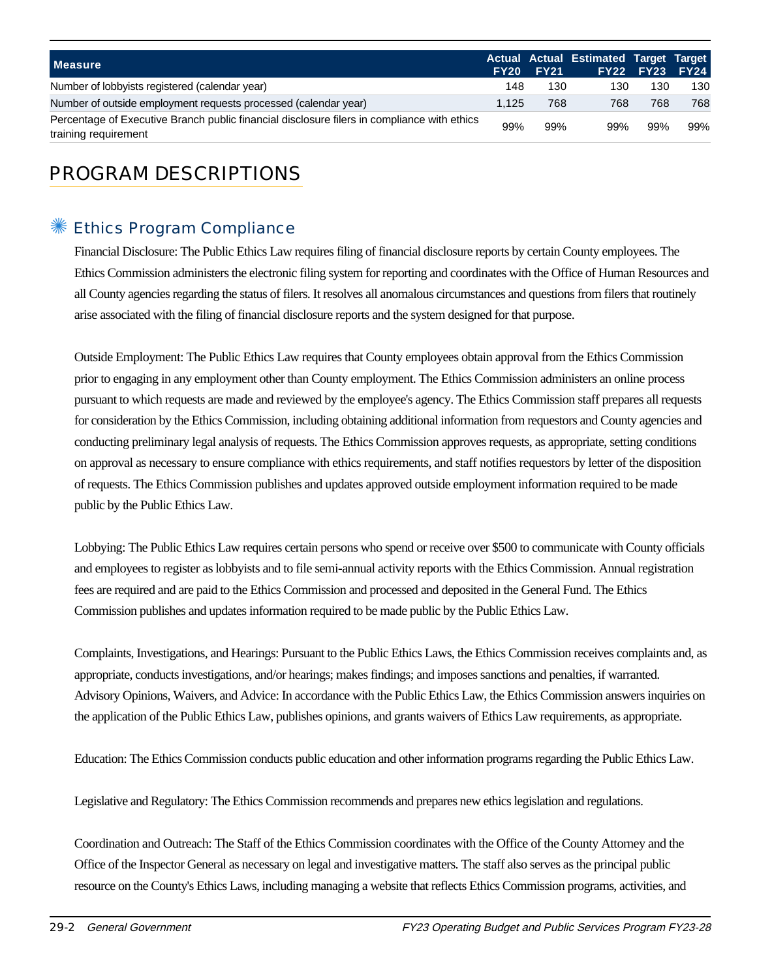| <b>Measure</b>                                                                                                      | <b>FY20</b> | <b>FY21</b> | Actual Actual Estimated Target Target | <b>FY22 FY23 FY24</b> |     |
|---------------------------------------------------------------------------------------------------------------------|-------------|-------------|---------------------------------------|-----------------------|-----|
| Number of lobbyists registered (calendar year)                                                                      | 148         | 130         | 130                                   | 130                   | 130 |
| Number of outside employment requests processed (calendar year)                                                     | 1.125       | 768         | 768                                   | 768                   | 768 |
| Percentage of Executive Branch public financial disclosure filers in compliance with ethics<br>training requirement | 99%         | 99%         | 99%                                   | 99%                   | 99% |

# PROGRAM DESCRIPTIONS

#### ✺ Ethics Program Compliance

Financial Disclosure: The Public Ethics Law requires filing of financial disclosure reports by certain County employees. The Ethics Commission administers the electronic filing system for reporting and coordinates with the Office of Human Resources and all County agencies regarding the status of filers. It resolves all anomalous circumstances and questions from filers that routinely arise associated with the filing of financial disclosure reports and the system designed for that purpose.

Outside Employment: The Public Ethics Law requires that County employees obtain approval from the Ethics Commission prior to engaging in any employment other than County employment. The Ethics Commission administers an online process pursuant to which requests are made and reviewed by the employee's agency. The Ethics Commission staff prepares all requests for consideration by the Ethics Commission, including obtaining additional information from requestors and County agencies and conducting preliminary legal analysis of requests. The Ethics Commission approves requests, as appropriate, setting conditions on approval as necessary to ensure compliance with ethics requirements, and staff notifies requestors by letter of the disposition of requests. The Ethics Commission publishes and updates approved outside employment information required to be made public by the Public Ethics Law.

Lobbying: The Public Ethics Law requires certain persons who spend or receive over \$500 to communicate with County officials and employees to register as lobbyists and to file semi-annual activity reports with the Ethics Commission. Annual registration fees are required and are paid to the Ethics Commission and processed and deposited in the General Fund. The Ethics Commission publishes and updates information required to be made public by the Public Ethics Law.

Complaints, Investigations, and Hearings: Pursuant to the Public Ethics Laws, the Ethics Commission receives complaints and, as appropriate, conducts investigations, and/or hearings; makes findings; and imposes sanctions and penalties, if warranted. Advisory Opinions, Waivers, and Advice: In accordance with the Public Ethics Law, the Ethics Commission answers inquiries on the application of the Public Ethics Law, publishes opinions, and grants waivers of Ethics Law requirements, as appropriate.

Education: The Ethics Commission conducts public education and other information programs regarding the Public Ethics Law.

Legislative and Regulatory: The Ethics Commission recommends and prepares new ethics legislation and regulations.

Coordination and Outreach: The Staff of the Ethics Commission coordinates with the Office of the County Attorney and the Office of the Inspector General as necessary on legal and investigative matters. The staff also serves as the principal public resource on the County's Ethics Laws, including managing a website that reflects Ethics Commission programs, activities, and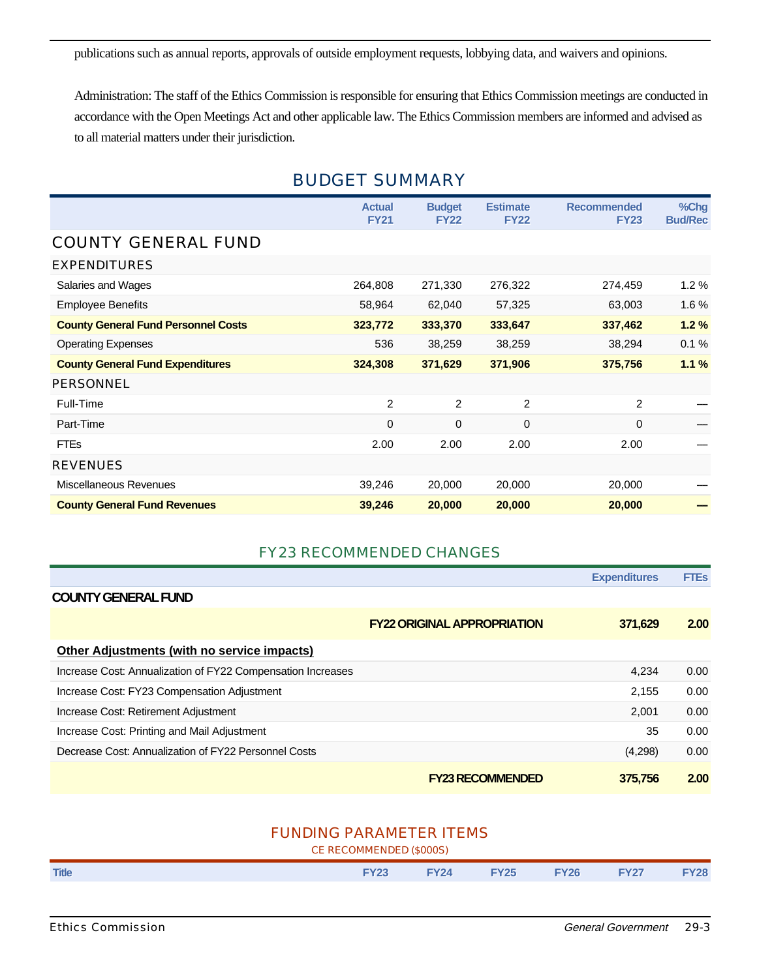publications such as annual reports, approvals of outside employment requests, lobbying data, and waivers and opinions.

Administration: The staff of the Ethics Commission is responsible for ensuring that Ethics Commission meetings are conducted in accordance with the Open Meetings Act and other applicable law. The Ethics Commission members are informed and advised as to all material matters under their jurisdiction.

#### BUDGET SUMMARY

|                                            | <b>Actual</b><br><b>FY21</b> | <b>Budget</b><br><b>FY22</b> | <b>Estimate</b><br><b>FY22</b> | <b>Recommended</b><br><b>FY23</b> | %Chg<br><b>Bud/Rec</b> |
|--------------------------------------------|------------------------------|------------------------------|--------------------------------|-----------------------------------|------------------------|
| <b>COUNTY GENERAL FUND</b>                 |                              |                              |                                |                                   |                        |
| <b>EXPENDITURES</b>                        |                              |                              |                                |                                   |                        |
| Salaries and Wages                         | 264,808                      | 271,330                      | 276,322                        | 274,459                           | 1.2%                   |
| <b>Employee Benefits</b>                   | 58,964                       | 62,040                       | 57,325                         | 63,003                            | 1.6%                   |
| <b>County General Fund Personnel Costs</b> | 323,772                      | 333,370                      | 333,647                        | 337,462                           | 1.2%                   |
| <b>Operating Expenses</b>                  | 536                          | 38,259                       | 38,259                         | 38,294                            | 0.1%                   |
| <b>County General Fund Expenditures</b>    | 324,308                      | 371,629                      | 371,906                        | 375,756                           | 1.1%                   |
| PERSONNEL                                  |                              |                              |                                |                                   |                        |
| Full-Time                                  | $\overline{2}$               | $\overline{2}$               | 2                              | $\overline{2}$                    |                        |
| Part-Time                                  | 0                            | 0                            | 0                              | $\mathbf 0$                       |                        |
| <b>FTEs</b>                                | 2.00                         | 2.00                         | 2.00                           | 2.00                              |                        |
| <b>REVENUES</b>                            |                              |                              |                                |                                   |                        |
| Miscellaneous Revenues                     | 39,246                       | 20,000                       | 20,000                         | 20,000                            |                        |
| <b>County General Fund Revenues</b>        | 39,246                       | 20,000                       | 20,000                         | 20,000                            |                        |

#### FY23 RECOMMENDED CHANGES

|                                                             |                                    | <b>Expenditures</b> | <b>FTEs</b> |
|-------------------------------------------------------------|------------------------------------|---------------------|-------------|
| <b>COUNTY GENERAL FUND</b>                                  |                                    |                     |             |
|                                                             | <b>FY22 ORIGINAL APPROPRIATION</b> | 371,629             | 2.00        |
| <b>Other Adjustments (with no service impacts)</b>          |                                    |                     |             |
| Increase Cost: Annualization of FY22 Compensation Increases |                                    | 4,234               | 0.00        |
| Increase Cost: FY23 Compensation Adjustment                 |                                    | 2,155               | 0.00        |
| Increase Cost: Retirement Adjustment                        |                                    | 2,001               | 0.00        |
| Increase Cost: Printing and Mail Adjustment                 |                                    | 35                  | 0.00        |
| Decrease Cost: Annualization of FY22 Personnel Costs        |                                    | (4,298)             | 0.00        |
|                                                             | <b>FY23 RECOMMENDED</b>            | 375,756             | 2.00        |

#### FUNDING PARAMETER ITEMS

CE RECOMMENDED (\$000S)

| <b>Title</b> | <b>FY23</b> | <b>FY24</b> | <b>FY25 FY26</b> I | <b>FY27</b> | <b>FY28</b> |
|--------------|-------------|-------------|--------------------|-------------|-------------|
|              |             |             |                    |             |             |